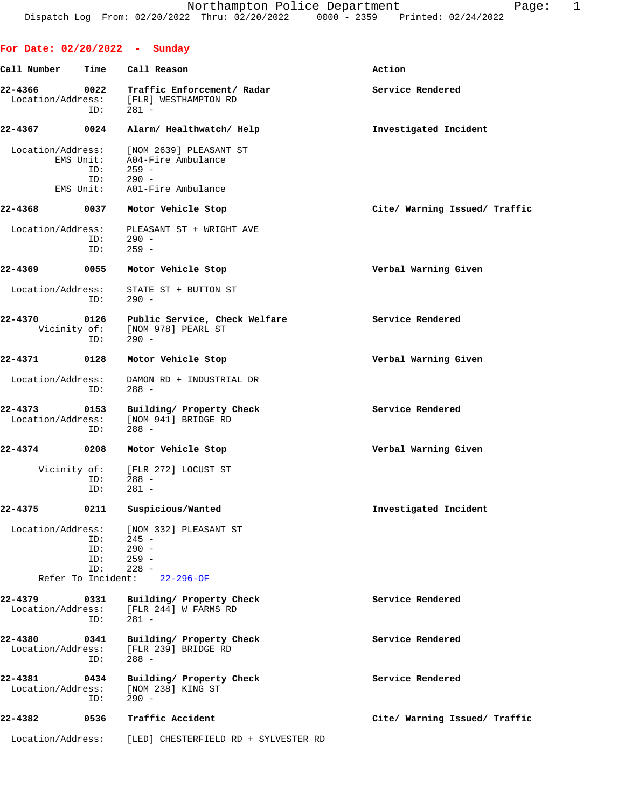| For Date: 02/20/2022 - Sunday           |                                      |                                                                                          |                               |
|-----------------------------------------|--------------------------------------|------------------------------------------------------------------------------------------|-------------------------------|
| Call Number                             | Time                                 | Call Reason                                                                              | Action                        |
| 22-4366<br>Location/Address:            | 0022<br>ID:                          | Traffic Enforcement/ Radar<br>[FLR] WESTHAMPTON RD<br>$281 -$                            | Service Rendered              |
| 22-4367                                 | 0024                                 | Alarm/ Healthwatch/ Help                                                                 | Investigated Incident         |
| Location/Address:                       | EMS Unit:<br>ID:<br>ID:<br>EMS Unit: | [NOM 2639] PLEASANT ST<br>A04-Fire Ambulance<br>$259 -$<br>$290 -$<br>A01-Fire Ambulance |                               |
| 22-4368                                 | 0037                                 | Motor Vehicle Stop                                                                       | Cite/ Warning Issued/ Traffic |
| Location/Address:                       | ID:<br>ID:                           | PLEASANT ST + WRIGHT AVE<br>$290 -$<br>$259 -$                                           |                               |
| 22-4369                                 | 0055                                 | Motor Vehicle Stop                                                                       | Verbal Warning Given          |
| Location/Address:                       | ID:                                  | STATE ST + BUTTON ST<br>$290 -$                                                          |                               |
| 22-4370<br>Vicinity of:                 | 0126<br>ID:                          | Public Service, Check Welfare<br>[NOM 978] PEARL ST<br>$290 -$                           | Service Rendered              |
| 22-4371                                 | 0128                                 | Motor Vehicle Stop                                                                       | Verbal Warning Given          |
| Location/Address:                       | ID:                                  | DAMON RD + INDUSTRIAL DR<br>$288 -$                                                      |                               |
| 22-4373<br>Location/Address:            | 0153<br>ID:                          | Building/ Property Check<br>[NOM 941] BRIDGE RD<br>$288 -$                               | Service Rendered              |
| 22-4374                                 | 0208                                 | Motor Vehicle Stop                                                                       | Verbal Warning Given          |
| Vicinity of:                            | ID:<br>ID:                           | [FLR 272] LOCUST ST<br>$288 -$<br>$281 -$                                                |                               |
| $22 - 4375$                             | 0211                                 | Suspicious/Wanted                                                                        | Investigated Incident         |
| Location/Address:<br>Refer To Incident: | ID:<br>ID:<br>ID:<br>ID:             | [NOM 332] PLEASANT ST<br>$245 -$<br>$290 -$<br>$259 -$<br>$228 -$<br>$22 - 296 - OF$     |                               |
| 22-4379<br>Location/Address:            | 0331<br>ID:                          | Building/ Property Check<br>[FLR 244] W FARMS RD<br>$281 -$                              | Service Rendered              |
| 22-4380<br>Location/Address:            | 0341<br>ID:                          | Building/ Property Check<br>[FLR 239] BRIDGE RD<br>$288 -$                               | Service Rendered              |
| 22-4381<br>Location/Address:            | 0434<br>ID:                          | Building/ Property Check<br>[NOM 238] KING ST<br>$290 -$                                 | Service Rendered              |
| 22-4382                                 | 0536                                 | Traffic Accident                                                                         | Cite/ Warning Issued/ Traffic |
| Location/Address:                       |                                      | [LED] CHESTERFIELD RD + SYLVESTER RD                                                     |                               |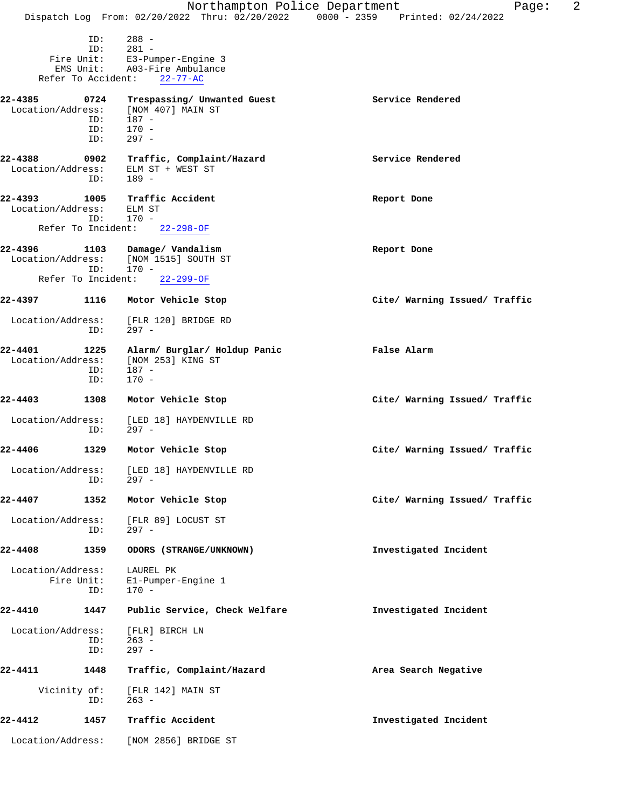|                                 |                           |                                                                                 | 2<br>Northampton Police Department<br>Page:                                    |
|---------------------------------|---------------------------|---------------------------------------------------------------------------------|--------------------------------------------------------------------------------|
|                                 |                           |                                                                                 | Dispatch Log From: 02/20/2022 Thru: 02/20/2022 0000 - 2359 Printed: 02/24/2022 |
|                                 | ID:<br>ID:<br>EMS Unit:   | $288 -$<br>$281 -$<br>Fire Unit: E3-Pumper-Engine 3<br>A03-Fire Ambulance       |                                                                                |
| Refer To Accident:              |                           | $22 - 77 - AC$                                                                  |                                                                                |
| 22-4385<br>Location/Address:    | 0724<br>ID:<br>ID:<br>ID: | Trespassing/ Unwanted Guest<br>[NOM 407] MAIN ST<br>187 -<br>$170 -$<br>$297 -$ | Service Rendered                                                               |
| 22-4388<br>Location/Address:    | 0902<br>ID:               | Traffic, Complaint/Hazard<br>ELM ST + WEST ST<br>189 -                          | Service Rendered                                                               |
| 22-4393<br>Location/Address:    | 1005<br>ID:               | Traffic Accident<br>ELM ST<br>170 -                                             | Report Done                                                                    |
| Refer To Incident:              |                           | $22 - 298 - OF$                                                                 |                                                                                |
| 22-4396                         | ID:                       | 1103 Damage/ Vandalism<br>Location/Address: [NOM 1515] SOUTH ST<br>170 -        | Report Done                                                                    |
| Refer To Incident:              |                           | $22 - 299 - OF$                                                                 |                                                                                |
| 22-4397                         |                           | 1116 Motor Vehicle Stop                                                         | Cite/ Warning Issued/ Traffic                                                  |
| Location/Address:               | ID:                       | [FLR 120] BRIDGE RD<br>297 -                                                    |                                                                                |
| 22-4401<br>Location/Address:    | 1225<br>ID:<br>ID:        | Alarm/ Burglar/ Holdup Panic<br>[NOM 253] KING ST<br>$187 -$<br>$170 -$         | False Alarm                                                                    |
| 22-4403                         | 1308                      | Motor Vehicle Stop                                                              | Cite/ Warning Issued/ Traffic                                                  |
| Location/Address:               | ID:                       | [LED 18] HAYDENVILLE RD<br>$297 -$                                              |                                                                                |
| 22-4406                         | 1329                      | Motor Vehicle Stop                                                              | Cite/ Warning Issued/ Traffic                                                  |
| Location/Address:               | ID:                       | [LED 18] HAYDENVILLE RD<br>297 -                                                |                                                                                |
| $22 - 4407$                     | 1352                      | Motor Vehicle Stop                                                              | Cite/ Warning Issued/ Traffic                                                  |
| Location/Address:               | ID:                       | [FLR 89] LOCUST ST<br>$297 -$                                                   |                                                                                |
| 22-4408                         | 1359                      | ODORS (STRANGE/UNKNOWN)                                                         | Investigated Incident                                                          |
| Location/Address:<br>Fire Unit: | ID:                       | LAUREL PK<br>E1-Pumper-Engine 1<br>$170 -$                                      |                                                                                |
| 22-4410                         | 1447                      | Public Service, Check Welfare                                                   | Investigated Incident                                                          |
| Location/Address:               | ID:<br>ID:                | [FLR] BIRCH LN<br>$263 -$<br>$297 -$                                            |                                                                                |
| 22-4411                         | 1448                      | Traffic, Complaint/Hazard                                                       | Area Search Negative                                                           |
| Vicinity of:                    | ID:                       | [FLR 142] MAIN ST<br>$263 -$                                                    |                                                                                |
| 22-4412                         | 1457                      | Traffic Accident                                                                | Investigated Incident                                                          |
| Location/Address:               |                           | [NOM 2856] BRIDGE ST                                                            |                                                                                |
|                                 |                           |                                                                                 |                                                                                |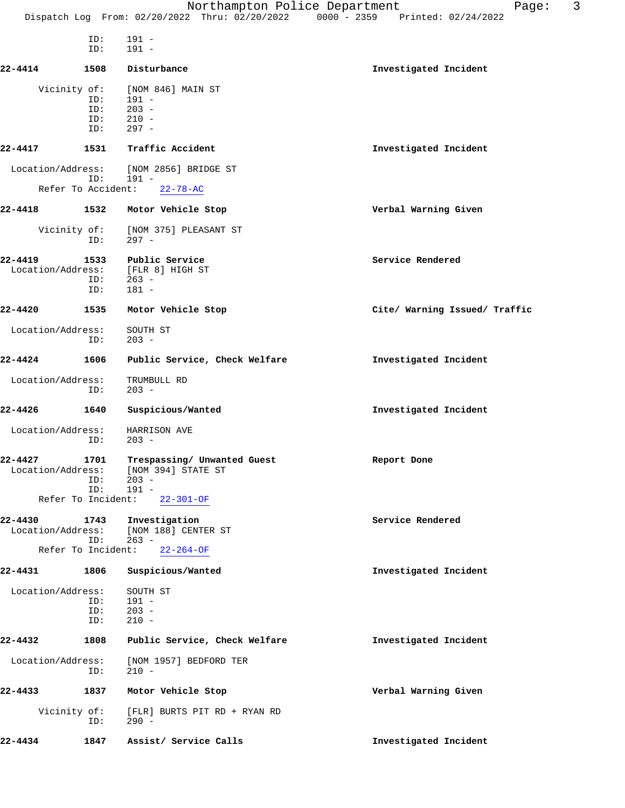Northampton Police Department Fage: 3 Dispatch Log From: 02/20/2022 Thru: 02/20/2022 0000 - 2359 Printed: 02/24/2022 ID: 191 -<br>ID: 191 - $191 -$ **22-4414 1508 Disturbance Investigated Incident** Vicinity of: [NOM 846] MAIN ST ID: 191 - ID: 203 -<br>ID: 210 - ID: 210 - ID: 297 - **22-4417 1531 Traffic Accident Investigated Incident** Location/Address: [NOM 2856] BRIDGE ST ID: 191 - Refer To Accident: 22-78-AC **22-4418 1532 Motor Vehicle Stop Verbal Warning Given** Vicinity of: [NOM 375] PLEASANT ST ID: 297 - **22-4419 1533 Public Service Service Rendered** Location/Address: ID: 263 - ID: 181 - **22-4420 1535 Motor Vehicle Stop Cite/ Warning Issued/ Traffic** Location/Address: SOUTH ST ID: 203 - **22-4424 1606 Public Service, Check Welfare Investigated Incident** Location/Address: TRUMBULL RD ID: 203 - **22-4426 1640 Suspicious/Wanted Investigated Incident** Location/Address: HARRISON AVE ID: 203 - **22-4427 1701 Trespassing/ Unwanted Guest Report Done** Location/Address: [NOM 394] STATE ST<br>ID: 203 - ID: 203 - ID: 191 - Refer To Incident: 22-301-OF **22-4430 1743 Investigation Service Rendered** Location/Address: [NOM 188] CENTER ST ID: 263 - Refer To Incident: 22-264-OF **22-4431 1806 Suspicious/Wanted Investigated Incident** Location/Address: SOUTH ST ID: 191 -<br>ID: 203 -ID: 203 -<br>ID: 210 - $210 -$ **22-4432 1808 Public Service, Check Welfare Investigated Incident** Location/Address: [NOM 1957] BEDFORD TER ID: 210 - **22-4433 1837 Motor Vehicle Stop Verbal Warning Given** Vicinity of: [FLR] BURTS PIT RD + RYAN RD ID: 290 -

**22-4434 1847 Assist/ Service Calls Investigated Incident**